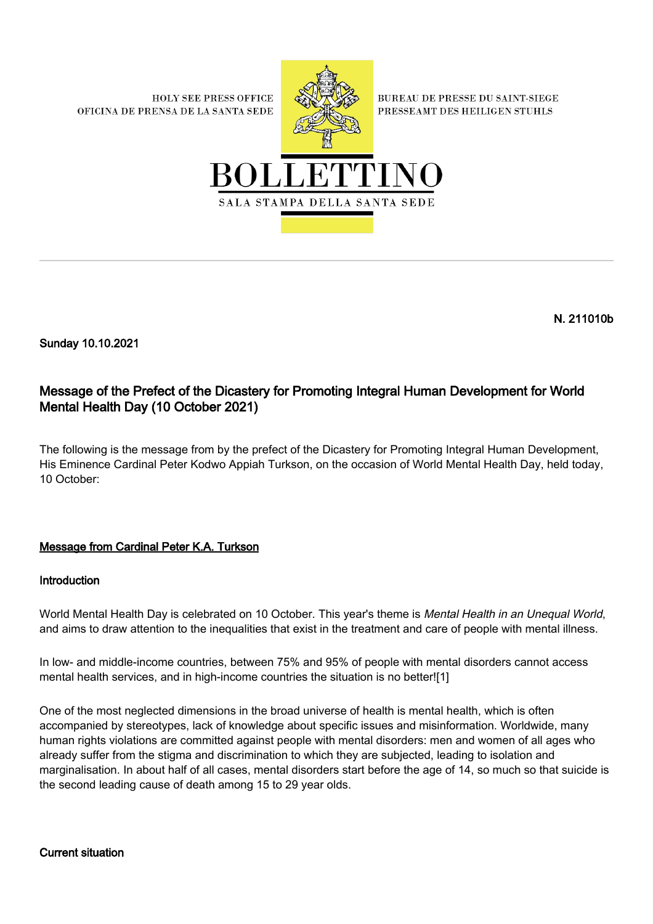**HOLY SEE PRESS OFFICE** OFICINA DE PRENSA DE LA SANTA SEDE



**BUREAU DE PRESSE DU SAINT-SIEGE** PRESSEAMT DES HEILIGEN STUHLS



N. 211010b

Sunday 10.10.2021

# Message of the Prefect of the Dicastery for Promoting Integral Human Development for World Mental Health Day (10 October 2021)

The following is the message from by the prefect of the Dicastery for Promoting Integral Human Development, His Eminence Cardinal Peter Kodwo Appiah Turkson, on the occasion of World Mental Health Day, held today, 10 October:

## Message from Cardinal Peter K.A. Turkson

### Introduction

World Mental Health Day is celebrated on 10 October. This year's theme is Mental Health in an Unequal World, and aims to draw attention to the inequalities that exist in the treatment and care of people with mental illness.

In low- and middle-income countries, between 75% and 95% of people with mental disorders cannot access mental health services, and in high-income countries the situation is no better![1]

One of the most neglected dimensions in the broad universe of health is mental health, which is often accompanied by stereotypes, lack of knowledge about specific issues and misinformation. Worldwide, many human rights violations are committed against people with mental disorders: men and women of all ages who already suffer from the stigma and discrimination to which they are subjected, leading to isolation and marginalisation. In about half of all cases, mental disorders start before the age of 14, so much so that suicide is the second leading cause of death among 15 to 29 year olds.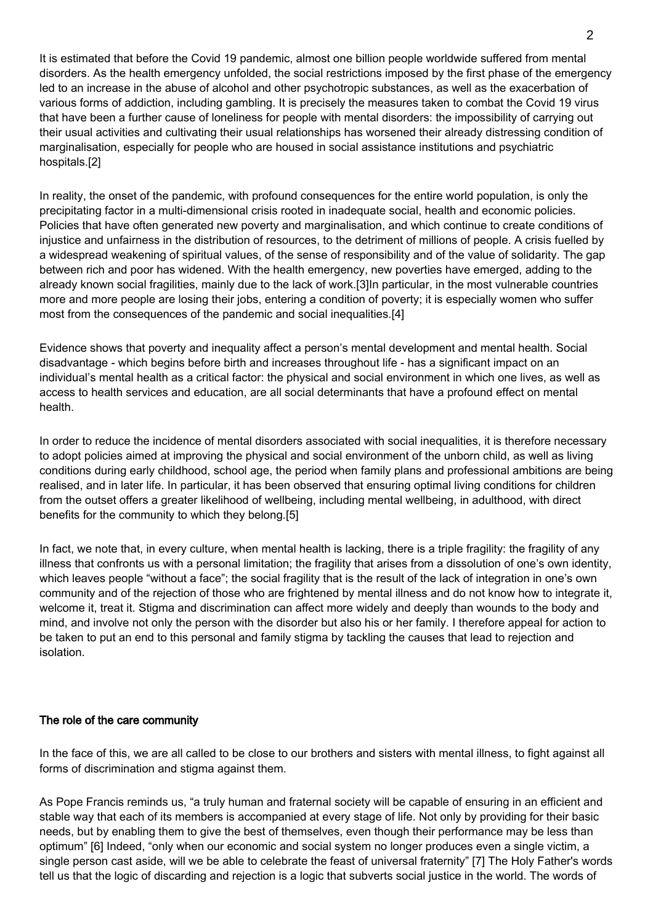It is estimated that before the Covid 19 pandemic, almost one billion people worldwide suffered from mental disorders. As the health emergency unfolded, the social restrictions imposed by the first phase of the emergency led to an increase in the abuse of alcohol and other psychotropic substances, as well as the exacerbation of various forms of addiction, including gambling. It is precisely the measures taken to combat the Covid 19 virus that have been a further cause of loneliness for people with mental disorders: the impossibility of carrying out their usual activities and cultivating their usual relationships has worsened their already distressing condition of marginalisation, especially for people who are housed in social assistance institutions and psychiatric hospitals.[2]

In reality, the onset of the pandemic, with profound consequences for the entire world population, is only the precipitating factor in a multi-dimensional crisis rooted in inadequate social, health and economic policies. Policies that have often generated new poverty and marginalisation, and which continue to create conditions of injustice and unfairness in the distribution of resources, to the detriment of millions of people. A crisis fuelled by a widespread weakening of spiritual values, of the sense of responsibility and of the value of solidarity. The gap between rich and poor has widened. With the health emergency, new poverties have emerged, adding to the already known social fragilities, mainly due to the lack of work.[3]In particular, in the most vulnerable countries more and more people are losing their jobs, entering a condition of poverty; it is especially women who suffer most from the consequences of the pandemic and social inequalities.[4]

Evidence shows that poverty and inequality affect a person's mental development and mental health. Social disadvantage - which begins before birth and increases throughout life - has a significant impact on an individual's mental health as a critical factor: the physical and social environment in which one lives, as well as access to health services and education, are all social determinants that have a profound effect on mental health.

In order to reduce the incidence of mental disorders associated with social inequalities, it is therefore necessary to adopt policies aimed at improving the physical and social environment of the unborn child, as well as living conditions during early childhood, school age, the period when family plans and professional ambitions are being realised, and in later life. In particular, it has been observed that ensuring optimal living conditions for children from the outset offers a greater likelihood of wellbeing, including mental wellbeing, in adulthood, with direct benefits for the community to which they belong.[5]

In fact, we note that, in every culture, when mental health is lacking, there is a triple fragility: the fragility of any illness that confronts us with a personal limitation; the fragility that arises from a dissolution of one's own identity, which leaves people "without a face"; the social fragility that is the result of the lack of integration in one's own community and of the rejection of those who are frightened by mental illness and do not know how to integrate it, welcome it, treat it. Stigma and discrimination can affect more widely and deeply than wounds to the body and mind, and involve not only the person with the disorder but also his or her family. I therefore appeal for action to be taken to put an end to this personal and family stigma by tackling the causes that lead to rejection and isolation.

#### The role of the care community

In the face of this, we are all called to be close to our brothers and sisters with mental illness, to fight against all forms of discrimination and stigma against them.

As Pope Francis reminds us, "a truly human and fraternal society will be capable of ensuring in an efficient and stable way that each of its members is accompanied at every stage of life. Not only by providing for their basic needs, but by enabling them to give the best of themselves, even though their performance may be less than optimum" [6] Indeed, "only when our economic and social system no longer produces even a single victim, a single person cast aside, will we be able to celebrate the feast of universal fraternity" [7] The Holy Father's words tell us that the logic of discarding and rejection is a logic that subverts social justice in the world. The words of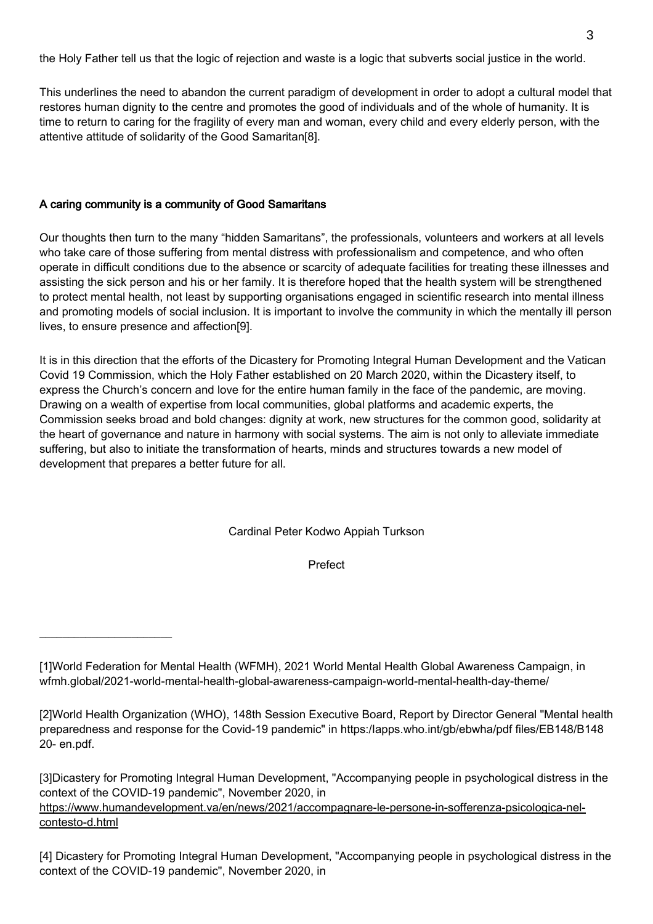the Holy Father tell us that the logic of rejection and waste is a logic that subverts social justice in the world.

This underlines the need to abandon the current paradigm of development in order to adopt a cultural model that restores human dignity to the centre and promotes the good of individuals and of the whole of humanity. It is time to return to caring for the fragility of every man and woman, every child and every elderly person, with the attentive attitude of solidarity of the Good Samaritan[8].

## A caring community is a community of Good Samaritans

 $\overline{\phantom{a}}$  , where  $\overline{\phantom{a}}$  , where  $\overline{\phantom{a}}$  , where  $\overline{\phantom{a}}$ 

Our thoughts then turn to the many "hidden Samaritans", the professionals, volunteers and workers at all levels who take care of those suffering from mental distress with professionalism and competence, and who often operate in difficult conditions due to the absence or scarcity of adequate facilities for treating these illnesses and assisting the sick person and his or her family. It is therefore hoped that the health system will be strengthened to protect mental health, not least by supporting organisations engaged in scientific research into mental illness and promoting models of social inclusion. It is important to involve the community in which the mentally ill person lives, to ensure presence and affection[9].

It is in this direction that the efforts of the Dicastery for Promoting Integral Human Development and the Vatican Covid 19 Commission, which the Holy Father established on 20 March 2020, within the Dicastery itself, to express the Church's concern and love for the entire human family in the face of the pandemic, are moving. Drawing on a wealth of expertise from local communities, global platforms and academic experts, the Commission seeks broad and bold changes: dignity at work, new structures for the common good, solidarity at the heart of governance and nature in harmony with social systems. The aim is not only to alleviate immediate suffering, but also to initiate the transformation of hearts, minds and structures towards a new model of development that prepares a better future for all.

Cardinal Peter Kodwo Appiah Turkson

Prefect

[1]World Federation for Mental Health (WFMH), 2021 World Mental Health Global Awareness Campaign, in wfmh.global/2021-world-mental-health-global-awareness-campaign-world-mental-health-day-theme/

[2]World Health Organization (WHO), 148th Session Executive Board, Report by Director General "Mental health preparedness and response for the Covid-19 pandemic" in https:/Iapps.who.int/gb/ebwha/pdf files/EB148/B148 20- en.pdf.

[3]Dicastery for Promoting Integral Human Development, "Accompanying people in psychological distress in the context of the COVID-19 pandemic", November 2020, in https://www.humandevelopment.va/en/news/2021/accompagnare-le-persone-in-sofferenza-psicologica-nelcontesto-d.html

[4] Dicastery for Promoting Integral Human Development, "Accompanying people in psychological distress in the context of the COVID-19 pandemic", November 2020, in